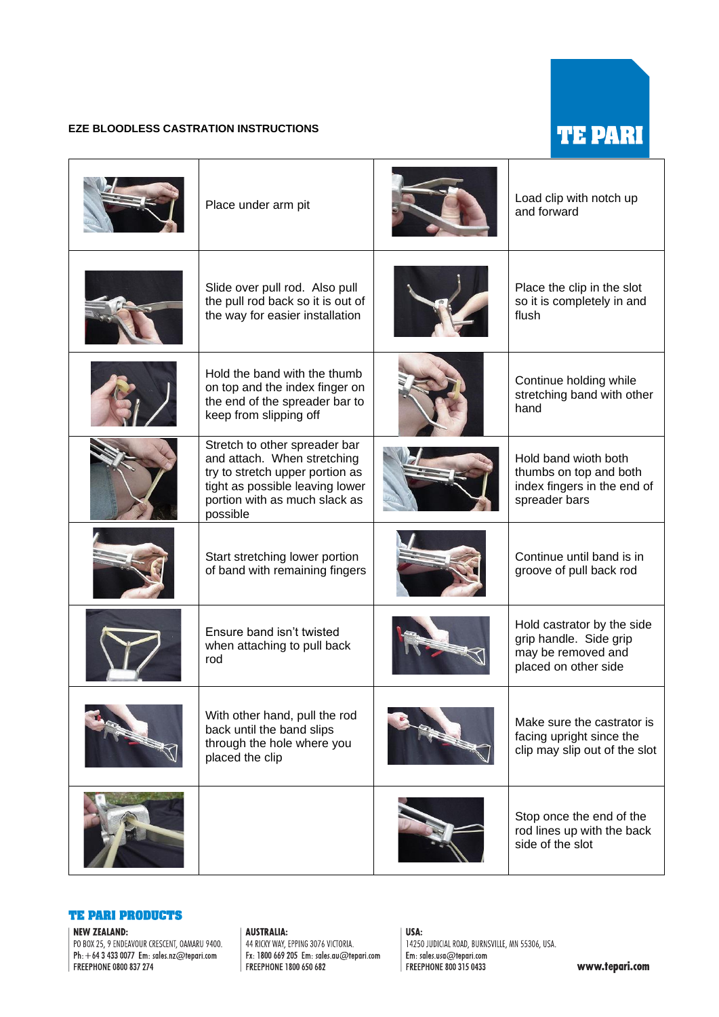# **EZE BLOODLESS CASTRATION INSTRUCTIONS**

# **TE PARI**

| Place under arm pit                                                                                                                                                             | Load clip with notch up<br>and forward                                                             |
|---------------------------------------------------------------------------------------------------------------------------------------------------------------------------------|----------------------------------------------------------------------------------------------------|
| Slide over pull rod. Also pull<br>the pull rod back so it is out of<br>the way for easier installation                                                                          | Place the clip in the slot<br>so it is completely in and<br>flush                                  |
| Hold the band with the thumb<br>on top and the index finger on<br>the end of the spreader bar to<br>keep from slipping off                                                      | Continue holding while<br>stretching band with other<br>hand                                       |
| Stretch to other spreader bar<br>and attach. When stretching<br>try to stretch upper portion as<br>tight as possible leaving lower<br>portion with as much slack as<br>possible | Hold band wioth both<br>thumbs on top and both<br>index fingers in the end of<br>spreader bars     |
| Start stretching lower portion<br>of band with remaining fingers                                                                                                                | Continue until band is in<br>groove of pull back rod                                               |
| Ensure band isn't twisted<br>when attaching to pull back<br>rod                                                                                                                 | Hold castrator by the side<br>grip handle. Side grip<br>may be removed and<br>placed on other side |
| With other hand, pull the rod<br>back until the band slips<br>through the hole where you<br>placed the clip                                                                     | Make sure the castrator is<br>facing upright since the<br>clip may slip out of the slot            |
|                                                                                                                                                                                 | Stop once the end of the<br>rod lines up with the back<br>side of the slot                         |

## **TE PARI PRODUCTS**

## **NEW ZEALAND:**

PO BOX 25, 9 ENDEAVOUR CRESCENT, OAMARU 9400.  $Ph: +6434330077$  Em: sales.nz@tepari.com FREEPHONE 0800 837 274

#### **AUSTRALIA:**

44 RICKY WAY, EPPING 3076 VICTORIA. Fx: 1800 669 205 Em: sales.au@tepari.com FREEPHONE 1800 650 682

USA: 14250 JUDICIAL ROAD, BURNSVILLE, MN 55306, USA. Em: sales.usa@tepari.com FREEPHONE 800 315 0433